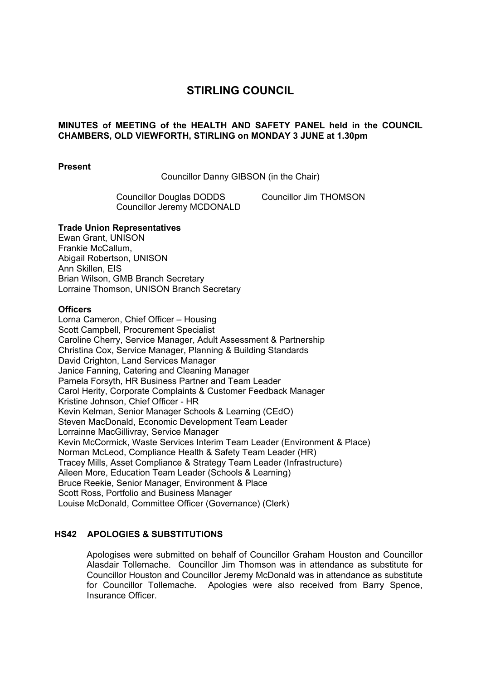# **STIRLING COUNCIL**

## **MINUTES of MEETING of the HEALTH AND SAFETY PANEL held in the COUNCIL CHAMBERS, OLD VIEWFORTH, STIRLING on MONDAY 3 JUNE at 1.30pm**

#### **Present**

Councillor Danny GIBSON (in the Chair)

Councillor Douglas DODDS Councillor Jim THOMSON Councillor Jeremy MCDONALD

#### **Trade Union Representatives**

Ewan Grant, UNISON Frankie McCallum, Abigail Robertson, UNISON Ann Skillen, EIS Brian Wilson, GMB Branch Secretary Lorraine Thomson, UNISON Branch Secretary

#### **Officers**

Lorna Cameron, Chief Officer – Housing Scott Campbell, Procurement Specialist Caroline Cherry, Service Manager, Adult Assessment & Partnership Christina Cox, Service Manager, Planning & Building Standards David Crighton, Land Services Manager Janice Fanning, Catering and Cleaning Manager Pamela Forsyth, HR Business Partner and Team Leader Carol Herity, Corporate Complaints & Customer Feedback Manager Kristine Johnson, Chief Officer - HR Kevin Kelman, Senior Manager Schools & Learning (CEdO) Steven MacDonald, Economic Development Team Leader Lorrainne MacGillivray, Service Manager Kevin McCormick, Waste Services Interim Team Leader (Environment & Place) Norman McLeod, Compliance Health & Safety Team Leader (HR) Tracey Mills, Asset Compliance & Strategy Team Leader (Infrastructure) Aileen More, Education Team Leader (Schools & Learning) Bruce Reekie, Senior Manager, Environment & Place Scott Ross, Portfolio and Business Manager Louise McDonald, Committee Officer (Governance) (Clerk)

#### **HS42 APOLOGIES & SUBSTITUTIONS**

Apologises were submitted on behalf of Councillor Graham Houston and Councillor Alasdair Tollemache. Councillor Jim Thomson was in attendance as substitute for Councillor Houston and Councillor Jeremy McDonald was in attendance as substitute for Councillor Tollemache. Apologies were also received from Barry Spence, Insurance Officer.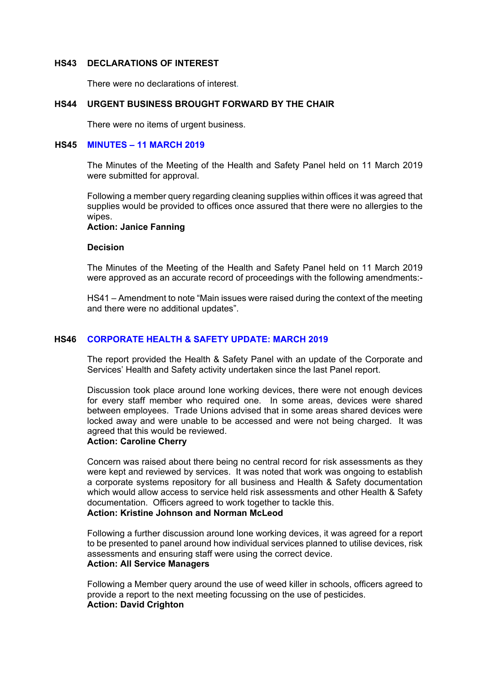#### **HS43 DECLARATIONS OF INTEREST**

There were no declarations of interest.

## **HS44 URGENT BUSINESS BROUGHT FORWARD BY THE CHAIR**

There were no items of urgent business.

#### **HS45 MINUTES – 11 MARCH 2019**

The Minutes of the Meeting of the Health and Safety Panel held on 11 March 2019 were submitted for approval.

Following a member query regarding cleaning supplies within offices it was agreed that supplies would be provided to offices once assured that there were no allergies to the wipes.

**Action: Janice Fanning** 

#### **Decision**

The Minutes of the Meeting of the Health and Safety Panel held on 11 March 2019 were approved as an accurate record of proceedings with the following amendments:-

HS41 – Amendment to note "Main issues were raised during the context of the meeting and there were no additional updates".

#### **HS46 CORPORATE HEALTH & SAFETY UPDATE: MARCH 2019**

The report provided the Health & Safety Panel with an update of the Corporate and Services' Health and Safety activity undertaken since the last Panel report.

Discussion took place around lone working devices, there were not enough devices for every staff member who required one. In some areas, devices were shared between employees. Trade Unions advised that in some areas shared devices were locked away and were unable to be accessed and were not being charged. It was agreed that this would be reviewed.

## **Action: Caroline Cherry**

Concern was raised about there being no central record for risk assessments as they were kept and reviewed by services. It was noted that work was ongoing to establish a corporate systems repository for all business and Health & Safety documentation which would allow access to service held risk assessments and other Health & Safety documentation. Officers agreed to work together to tackle this.

## **Action: Kristine Johnson and Norman McLeod**

Following a further discussion around lone working devices, it was agreed for a report to be presented to panel around how individual services planned to utilise devices, risk assessments and ensuring staff were using the correct device.

## **Action: All Service Managers**

Following a Member query around the use of weed killer in schools, officers agreed to provide a report to the next meeting focussing on the use of pesticides. **Action: David Crighton**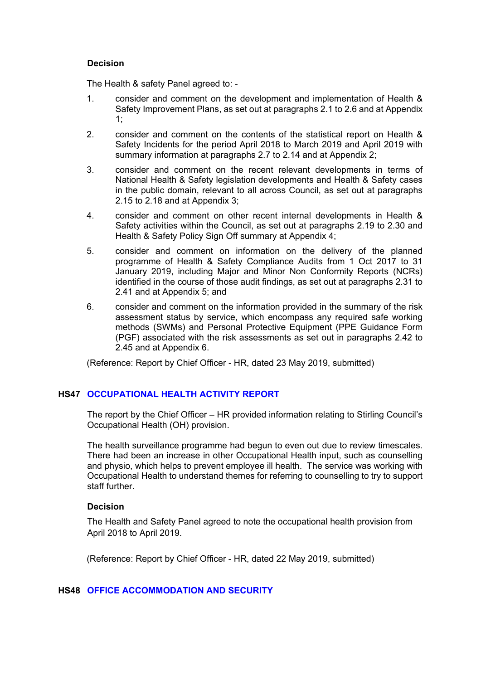## **Decision**

The Health & safety Panel agreed to: -

- 1. consider and comment on the development and implementation of Health & Safety Improvement Plans, as set out at paragraphs 2.1 to 2.6 and at Appendix 1;
- 2. consider and comment on the contents of the statistical report on Health & Safety Incidents for the period April 2018 to March 2019 and April 2019 with summary information at paragraphs 2.7 to 2.14 and at Appendix 2;
- 3. consider and comment on the recent relevant developments in terms of National Health & Safety legislation developments and Health & Safety cases in the public domain, relevant to all across Council, as set out at paragraphs 2.15 to 2.18 and at Appendix 3;
- 4. consider and comment on other recent internal developments in Health & Safety activities within the Council, as set out at paragraphs 2.19 to 2.30 and Health & Safety Policy Sign Off summary at Appendix 4;
- 5. consider and comment on information on the delivery of the planned programme of Health & Safety Compliance Audits from 1 Oct 2017 to 31 January 2019, including Major and Minor Non Conformity Reports (NCRs) identified in the course of those audit findings, as set out at paragraphs 2.31 to 2.41 and at Appendix 5; and
- 6. consider and comment on the information provided in the summary of the risk assessment status by service, which encompass any required safe working methods (SWMs) and Personal Protective Equipment (PPE Guidance Form (PGF) associated with the risk assessments as set out in paragraphs 2.42 to 2.45 and at Appendix 6.

(Reference: Report by Chief Officer - HR, dated 23 May 2019, submitted)

## **HS47 OCCUPATIONAL HEALTH ACTIVITY REPORT**

The report by the Chief Officer – HR provided information relating to Stirling Council's Occupational Health (OH) provision.

The health surveillance programme had begun to even out due to review timescales. There had been an increase in other Occupational Health input, such as counselling and physio, which helps to prevent employee ill health. The service was working with Occupational Health to understand themes for referring to counselling to try to support staff further.

## **Decision**

The Health and Safety Panel agreed to note the occupational health provision from April 2018 to April 2019.

(Reference: Report by Chief Officer - HR, dated 22 May 2019, submitted)

## **HS48 OFFICE ACCOMMODATION AND SECURITY**